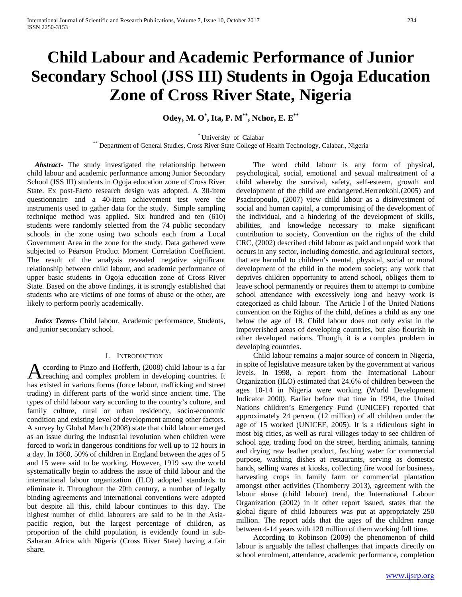# **Child Labour and Academic Performance of Junior Secondary School (JSS III) Students in Ogoja Education Zone of Cross River State, Nigeria**

# **Odey, M. O\* , Ita, P. M\*\*, Nchor, E. E\*\***

\* University of Calabar \*\* Department of General Studies, Cross River State College of Health Technology, Calabar., Nigeria

 *Abstract***-** The study investigated the relationship between child labour and academic performance among Junior Secondary School (JSS III) students in Ogoja education zone of Cross River State. Ex post-Facto research design was adopted. A 30-item questionnaire and a 40-item achievement test were the instruments used to gather data for the study. Simple sampling technique method was applied. Six hundred and ten (610) students were randomly selected from the 74 public secondary schools in the zone using two schools each from a Local Government Area in the zone for the study. Data gathered were subjected to Pearson Product Moment Correlation Coefficient. The result of the analysis revealed negative significant relationship between child labour, and academic performance of upper basic students in Ogoja education zone of Cross River State. Based on the above findings, it is strongly established that students who are victims of one forms of abuse or the other, are likely to perform poorly academically.

 *Index Terms*- Child labour, Academic performance, Students, and junior secondary school.

## I. INTRODUCTION

ccording to Pinzo and Hofferth, (2008) child labour is a far According to Pinzo and Hofferth, (2008) child labour is a far<br>reaching and complex problem in developing countries. It has existed in various forms (force labour, trafficking and street trading) in different parts of the world since ancient time. The types of child labour vary according to the country's culture, and family culture, rural or urban residency, socio-economic condition and existing level of development among other factors. A survey by Global March (2008) state that child labour emerged as an issue during the industrial revolution when children were forced to work in dangerous conditions for well up to 12 hours in a day. In 1860, 50% of children in England between the ages of 5 and 15 were said to be working. However, 1919 saw the world systematically begin to address the issue of child labour and the international labour organization (ILO) adopted standards to eliminate it. Throughout the 20th century, a number of legally binding agreements and international conventions were adopted but despite all this, child labour continues to this day. The highest number of child labourers are said to be in the Asiapacific region, but the largest percentage of children, as proportion of the child population, is evidently found in sub-Saharan Africa with Nigeria (Cross River State) having a fair share.

 The word child labour is any form of physical, psychological, social, emotional and sexual maltreatment of a child whereby the survival, safety, self-esteem, growth and development of the child are endangered.Herrenkohl,(2005) and Psachropoulo, (2007) view child labour as a disinvestment of social and human capital, a compromising of the development of the individual, and a hindering of the development of skills, abilities, and knowledge necessary to make significant contribution to society, Convention on the rights of the child CRC, (2002) described child labour as paid and unpaid work that occurs in any sector, including domestic, and agricultural sectors, that are harmful to children's mental, physical, social or moral development of the child in the modern society; any work that deprives children opportunity to attend school, obliges them to leave school permanently or requires them to attempt to combine school attendance with excessively long and heavy work is categorized as child labour. The Article I of the United Nations convention on the Rights of the child, defines a child as any one below the age of 18. Child labour does not only exist in the impoverished areas of developing countries, but also flourish in other developed nations. Though, it is a complex problem in developing countries.

 Child labour remains a major source of concern in Nigeria, in spite of legislative measure taken by the government at various levels. In 1998, a report from the International Labour Organization (ILO) estimated that 24.6% of children between the ages 10-14 in Nigeria were working (World Development Indicator 2000). Earlier before that time in 1994, the United Nations children's Emergency Fund (UNICEF) reported that approximately 24 percent (12 million) of all children under the age of 15 worked (UNICEF, 2005). It is a ridiculous sight in most big cities, as well as rural villages today to see children of school age, trading food on the street, herding animals, tanning and drying raw leather product, fetching water for commercial purpose, washing dishes at restaurants, serving as domestic hands, selling wares at kiosks, collecting fire wood for business, harvesting crops in family farm or commercial plantation amongst other activities (Thomberry 2013), agreement with the labour abuse (child labour) trend, the International Labour Organization (2002) in it other report issued, states that the global figure of child labourers was put at appropriately 250 million. The report adds that the ages of the children range between 4-14 years with 120 million of them working full time.

 According to Robinson (2009) the phenomenon of child labour is arguably the tallest challenges that impacts directly on school enrolment, attendance, academic performance, completion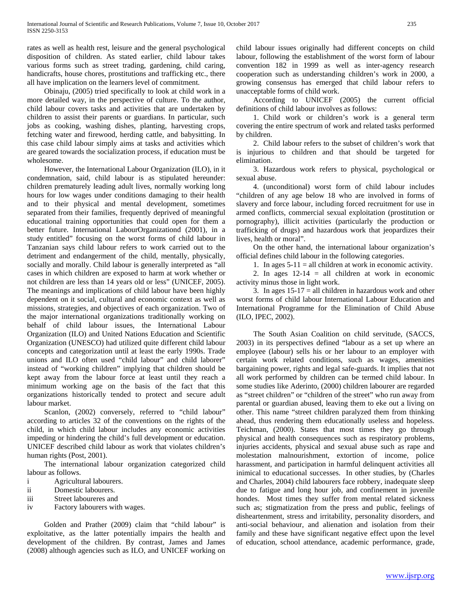rates as well as health rest, leisure and the general psychological disposition of children. As stated earlier, child labour takes various forms such as street trading, gardening, child caring, handicrafts, house chores, prostitutions and trafficking etc., there all have implication on the learners level of commitment.

 Obinaju, (2005) tried specifically to look at child work in a more detailed way, in the perspective of culture. To the author, child labour covers tasks and activities that are undertaken by children to assist their parents or guardians. In particular, such jobs as cooking, washing dishes, planting, harvesting crops, fetching water and firewood, herding cattle, and babysitting. In this case child labour simply aims at tasks and activities which are geared towards the socialization process, if education must be wholesome.

 However, the International Labour Organization (ILO), in it condemnation, said, child labour is as stipulated hereunder: children prematurely leading adult lives, normally working long hours for low wages under conditions damaging to their health and to their physical and mental development, sometimes separated from their families, frequently deprived of meaningful educational training opportunities that could open for them a better future. International LabourOrganizationd (2001), in a study entitled" focusing on the worst forms of child labour in Tanzanian says child labour refers to work carried out to the detriment and endangerment of the child, mentally, physically, socially and morally. Child labour is generally interpreted as "all cases in which children are exposed to harm at work whether or not children are less than 14 years old or less" (UNICEF, 2005). The meanings and implications of child labour have been highly dependent on it social, cultural and economic context as well as missions, strategies, and objectives of each organization. Two of the major international organizations traditionally working on behalf of child labour issues, the International Labour Organization (ILO) and United Nations Education and Scientific Organization (UNESCO) had utilized quite different child labour concepts and categorization until at least the early 1990s. Trade unions and ILO often used "child labour" and child laborer" instead of "working children" implying that children should be kept away from the labour force at least until they reach a minimum working age on the basis of the fact that this organizations historically tended to protect and secure adult labour market.

Scanlon, (2002) conversely, referred to "child labour" according to articles 32 of the conventions on the rights of the child, in which child labour includes any economic activities impeding or hindering the child's full development or education. UNICEF described child labour as work that violates children's human rights (Post, 2001).

 The international labour organization categorized child labour as follows.

- i Agricultural labourers.
- ii Domestic labourers.
- iii Street laboureres and
- iv Factory labourers with wages.

 Golden and Prather (2009) claim that "child labour" is exploitative, as the latter potentially impairs the health and development of the children. By contrast, James and James (2008) although agencies such as ILO, and UNICEF working on

child labour issues originally had different concepts on child labour, following the establishment of the worst form of labour convention 182 in 1999 as well as inter-agency research cooperation such as understanding children's work in 2000, a growing consensus has emerged that child labour refers to unacceptable forms of child work.

 According to UNICEF (2005) the current official definitions of child labour involves as follows:

 1. Child work or children's work is a general term covering the entire spectrum of work and related tasks performed by children.

 2. Child labour refers to the subset of children's work that is injurious to children and that should be targeted for elimination.

 3. Hazardous work refers to physical, psychological or sexual abuse.

 4. (unconditional) worst form of child labour includes "children of any age below 18 who are involved in forms of slavery and force labour, including forced recruitment for use in armed conflicts, commercial sexual exploitation (prostitution or pornography), illicit activities (particularly the production or trafficking of drugs) and hazardous work that jeopardizes their lives, health or moral".

 On the other hand, the international labour organization's official defines child labour in the following categories.

1. In ages  $5-11 =$  all children at work in economic activity.

2. In ages  $12-14 =$  all children at work in economic activity minus those in light work.

3. In ages  $15-17 =$  all children in hazardous work and other worst forms of child labour International Labour Education and International Programme for the Elimination of Child Abuse (ILO, IPEC, 2002).

 The South Asian Coalition on child servitude, (SACCS, 2003) in its perspectives defined "labour as a set up where an employee (labour) sells his or her labour to an employer with certain work related conditions, such as wages, amenities bargaining power, rights and legal safe-guards. It implies that not all work performed by children can be termed child labour. In some studies like Aderinto, (2000) children labourer are regarded as "street children" or "children of the street" who run away from parental or guardian abused, leaving them to eke out a living on other. This name "street children paralyzed them from thinking ahead, thus rendering them educationally useless and hopeless. Teichman, (2000). States that most times they go through physical and health consequences such as respiratory problems, injuries accidents, physical and sexual abuse such as rape and molestation malnourishment, extortion of income, police harassment, and participation in harmful delinquent activities all inimical to educational successes. In other studies, by (Charles and Charles, 2004) child labourers face robbery, inadequate sleep due to fatigue and long hour job, and confinement in juvenile hondes. Most times they suffer from mental related sickness such as; stigmatization from the press and public, feelings of disheartenment, stress and irritability, personality disorders, and anti-social behaviour, and alienation and isolation from their family and these have significant negative effect upon the level of education, school attendance, academic performance, grade,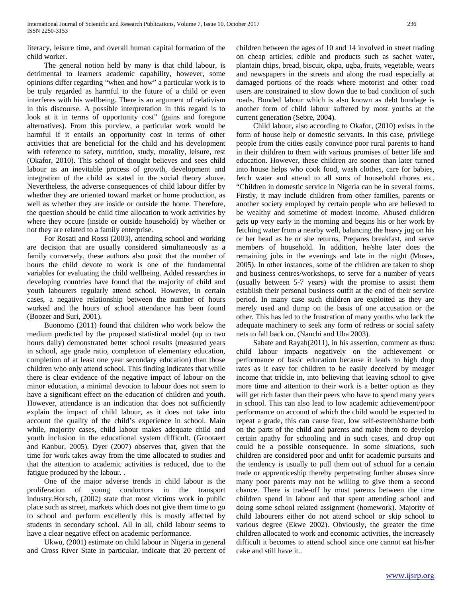literacy, leisure time, and overall human capital formation of the child worker.

 The general notion held by many is that child labour, is detrimental to learners academic capability, however, some opinions differ regarding "when and how" a particular work is to be truly regarded as harmful to the future of a child or even interferes with his wellbeing. There is an argument of relativism in this discourse. A possible interpretation in this regard is to look at it in terms of opportunity cost" (gains and foregone alternatives). From this purview, a particular work would be harmful if it entails an opportunity cost in terms of other activities that are beneficial for the child and his development with reference to safety, nutrition, study, morality, leisure, rest (Okafor, 2010). This school of thought believes and sees child labour as an inevitable process of growth, development and integration of the child as stated in the social theory above. Nevertheless, the adverse consequences of child labour differ by whether they are oriented toward market or home production, as well as whether they are inside or outside the home. Therefore, the question should be child time allocation to work activities by where they occure (inside or outside household) by whether or not they are related to a family enterprise.

 For Rosati and Rossi (2003), attending school and working are decision that are usually considered simultaneously as a family conversely, these authors also posit that the number of hours the child devote to work is one of the fundamental variables for evaluating the child wellbeing. Added researches in developing countries have found that the majority of child and youth labourers regularly attend school. However, in certain cases, a negative relationship between the number of hours worked and the hours of school attendance has been found (Boozer and Suri, 2001).

 Buonomo (2011) found that children who work below the medium predicted by the proposed statistical model (up to two hours daily) demonstrated better school results (measured years in school, age grade ratio, completion of elementary education, completion of at least one year secondary education) than those children who only attend school. This finding indicates that while there is clear evidence of the negative impact of labour on the minor education, a minimal devotion to labour does not seem to have a significant effect on the education of children and youth. However, attendance is an indication that does not sufficiently explain the impact of child labour, as it does not take into account the quality of the child's experience in school. Main while, majority cases, child labour makes adequate child and youth inclusion in the educational system difficult. (Grootaert and Kanbur, 2005). Dyer (2007) observes that, given that the time for work takes away from the time allocated to studies and that the attention to academic activities is reduced, due to the fatigue produced by the labour. .

 One of the major adverse trends in child labour is the proliferation of young conductors in the transport industry.Horsch, (2002) state that most victims work in public place such as street, markets which does not give them time to go to school and perform excellently this is mostly affected by students in secondary school. All in all, child labour seems to have a clear negative effect on academic performance.

 Ukwu, (2001) estimate on child labour in Nigeria in general and Cross River State in particular, indicate that 20 percent of children between the ages of 10 and 14 involved in street trading on cheap articles, edible and products such as sachet water, plantain chips, bread, biscuit, okpa, ugba, fruits, vegetable, wears and newspapers in the streets and along the road especially at damaged portions of the roads where motorist and other road users are constrained to slow down due to bad condition of such roads. Bonded labour which is also known as debt bondage is another form of child labour suffered by most youths at the current generation (Sebre, 2004).

 Child labour, also according to Okafor, (2010) exists in the form of house help or domestic servants. In this case, privilege people from the cities easily convince poor rural parents to hand in their children to them with various promises of better life and education. However, these children are sooner than later turned into house helps who cook food, wash clothes, care for babies, fetch water and attend to all sorts of household chores etc. "Children in domestic service in Nigeria can be in several forms. Firstly, it may include children from other families, parents or another society employed by certain people who are believed to be wealthy and sometime of modest income. Abused children gets up very early in the morning and begins his or her work by fetching water from a nearby well, balancing the heavy jug on his or her head as he or she returns, Prepares breakfast, and serve members of household. In addition, he/she later does the remaining jobs in the evenings and late in the night (Moses, 2005). In other instances, some of the children are taken to shop and business centres/workshops, to serve for a number of years (usually between 5-7 years) with the promise to assist them establish their personal business outfit at the end of their service period. In many case such children are exploited as they are merely used and dump on the basis of one accusation or the other. This has led to the frustration of many youths who lack the adequate machinery to seek any form of redress or social safety nets to fall back on. (Nanchi and Uba 2003).

 Sabate and Rayah(2011), in his assertion, comment as thus: child labour impacts negatively on the achievement or performance of basic education because it leads to high drop rates as it easy for children to be easily deceived by meager income that trickle in, into believing that leaving school to give more time and attention to their work is a better option as they will get rich faster than their peers who have to spend many years in school. This can also lead to low academic achievement/poor performance on account of which the child would be expected to repeat a grade, this can cause fear, low self-esteem/shame both on the parts of the child and parents and make them to develop certain apathy for schooling and in such cases, and drop out could be a possible consequence. In some situations, such children are considered poor and unfit for academic pursuits and the tendency is usually to pull them out of school for a certain trade or apprenticeship thereby perpetrating further abuses since many poor parents may not be willing to give them a second chance. There is trade-off by most parents between the time children spend in labour and that spent attending school and doing some school related assignment (homework). Majority of child labourers either do not attend school or skip school to various degree (Ekwe 2002). Obviously, the greater the time children allocated to work and economic activities, the increasely difficult it becomes to attend school since one cannot eat his/her cake and still have it..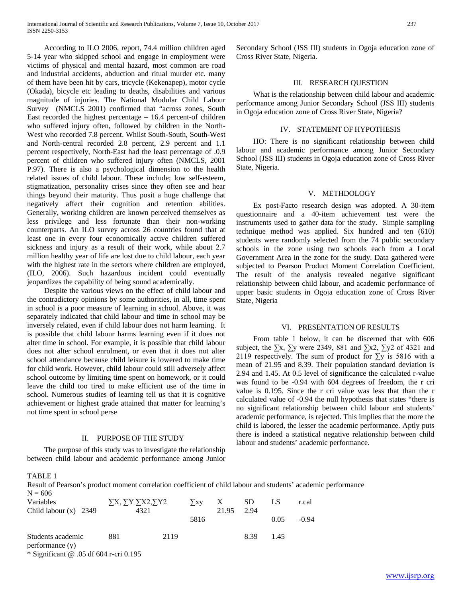According to ILO 2006, report, 74.4 million children aged 5-14 year who skipped school and engage in employment were victims of physical and mental hazard, most common are road and industrial accidents, abduction and ritual murder etc. many of them have been hit by cars, tricycle (Kekenapep), motor cycle (Okada), bicycle etc leading to deaths, disabilities and various magnitude of injuries. The National Modular Child Labour Survey (NMCLS 2001) confirmed that "across zones, South East recorded the highest percentage – 16.4 percent-of children who suffered injury often, followed by children in the North-West who recorded 7.8 percent. Whilst South-South, South-West and North-central recorded 2.8 percent, 2.9 percent and 1.1 percent respectively, North-East had the least percentage of .0.9 percent of children who suffered injury often (NMCLS, 2001 P.97). There is also a psychological dimension to the health related issues of child labour. These include; low self-esteem, stigmatization, personality crises since they often see and hear things beyond their maturity. Thus posit a huge challenge that negatively affect their cognition and retention abilities. Generally, working children are known perceived themselves as less privilege and less fortunate than their non-working counterparts. An ILO survey across 26 countries found that at least one in every four economically active children suffered sickness and injury as a result of their work, while about 2.7 million healthy year of life are lost due to child labour, each year with the highest rate in the sectors where children are employed, (ILO, 2006). Such hazardous incident could eventually jeopardizes the capability of being sound academically.

 Despite the various views on the effect of child labour and the contradictory opinions by some authorities, in all, time spent in school is a poor measure of learning in school. Above, it was separately indicated that child labour and time in school may be inversely related, even if child labour does not harm learning. It is possible that child labour harms learning even if it does not alter time in school. For example, it is possible that child labour does not alter school enrolment, or even that it does not alter school attendance because child leisure is lowered to make time for child work. However, child labour could still adversely affect school outcome by limiting time spent on homework, or it could leave the child too tired to make efficient use of the time in school. Numerous studies of learning tell us that it is cognitive achievement or highest grade attained that matter for learning's not time spent in school perse

#### II. PURPOSE OF THE STUDY

 The purpose of this study was to investigate the relationship between child labour and academic performance among Junior Secondary School (JSS III) students in Ogoja education zone of Cross River State, Nigeria.

# III. RESEARCH QUESTION

 What is the relationship between child labour and academic performance among Junior Secondary School (JSS III) students in Ogoja education zone of Cross River State, Nigeria?

#### IV. STATEMENT OF HYPOTHESIS

 HO: There is no significant relationship between child labour and academic performance among Junior Secondary School (JSS III) students in Ogoja education zone of Cross River State, Nigeria.

#### V. METHDOLOGY

 Ex post-Facto research design was adopted. A 30-item questionnaire and a 40-item achievement test were the instruments used to gather data for the study. Simple sampling technique method was applied. Six hundred and ten (610) students were randomly selected from the 74 public secondary schools in the zone using two schools each from a Local Government Area in the zone for the study. Data gathered were subjected to Pearson Product Moment Correlation Coefficient. The result of the analysis revealed negative significant relationship between child labour, and academic performance of upper basic students in Ogoja education zone of Cross River State, Nigeria

# VI. PRESENTATION OF RESULTS

 From table 1 below, it can be discerned that with 606 subject, the  $\Sigma x$ ,  $\Sigma y$  were 2349, 881 and  $\Sigma x^2$ ,  $\Sigma y^2$  of 4321 and 2119 respectively. The sum of product for  $\Sigma$ y is 5816 with a mean of 21.95 and 8.39. Their population standard deviation is 2.94 and 1.45. At 0.5 level of significance the calculated r-value was found to be -0.94 with 604 degrees of freedom, the r cri value is 0.195. Since the r cri value was less that than the r calculated value of -0.94 the null hypothesis that states "there is no significant relationship between child labour and students' academic performance, is rejected. This implies that the more the child is labored, the lesser the academic performance. Aptly puts there is indeed a statistical negative relationship between child labour and students' academic performance.

# TABLE 1

Result of Pearson's product moment correlation coefficient of child labour and students' academic performance  $N = 606$ 

| Variables                                 | $\sum X$ , $\sum Y \sum X2$ , $\sum Y2$ |      | $\sum_{i=1}^{n} X_i$ | X     | <b>SD</b> |      | r.cal   |
|-------------------------------------------|-----------------------------------------|------|----------------------|-------|-----------|------|---------|
| Child labour $(x)$ 2349                   | 4321                                    |      |                      | 21.95 | 2.94      |      |         |
|                                           |                                         |      | 5816                 |       |           | 0.05 | $-0.94$ |
| Students academic<br>performance (y)      | 881                                     | 2119 |                      |       | 8.39      | 1.45 |         |
| $*$ Significant $@.05$ df 604 r-cri 0.195 |                                         |      |                      |       |           |      |         |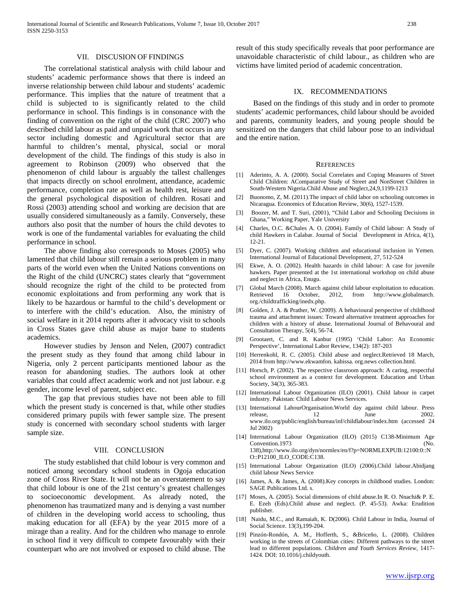#### VII. DISCUSION OF FINDINGS

 The correlational statistical analysis with child labour and students' academic performance shows that there is indeed an inverse relationship between child labour and students' academic performance. This implies that the nature of treatment that a child is subjected to is significantly related to the child performance in school. This findings is in consonance with the finding of convention on the right of the child (CRC 2007) who described child labour as paid and unpaid work that occurs in any sector including domestic and Agricultural sector that are harmful to children's mental, physical, social or moral development of the child. The findings of this study is also in agreement to Robinson (2009) who observed that the phenomenon of child labour is arguably the tallest challenges that impacts directly on school enrolment, attendance, academic performance, completion rate as well as health rest, leisure and the general psychological disposition of children. Rosati and Rossi (2003) attending school and working are decision that are usually considered simultaneously as a family. Conversely, these authors also posit that the number of hours the child devotes to work is one of the fundamental variables for evaluating the child performance in school.

 The above finding also corresponds to Moses (2005) who lamented that child labour still remain a serious problem in many parts of the world even when the United Nations conventions on the Right of the child (UNCRC) states clearly that "government should recognize the right of the child to be protected from economic exploitations and from performing any work that is likely to be hazardous or harmful to the child's development or to interfere with the child's education. Also, the ministry of social welfare in it 2014 reports after it advocacy visit to schools in Cross States gave child abuse as major bane to students academics.

 However studies by Jenson and Nelen, (2007) contradict the present study as they found that among child labour in Nigeria, only 2 percent participants mentioned labour as the reason for abandoning studies. The authors look at other variables that could affect academic work and not just labour. e.g gender, income level of parent, subject etc.

 The gap that previous studies have not been able to fill which the present study is concerned is that, while other studies considered primary pupils with fewer sample size. The present study is concerned with secondary school students with larger sample size.

## VIII. CONCLUSION

 The study established that child lobour is very common and noticed among secondary school students in Ogoja education zone of Cross River State. It will not be an overstatement to say that child lobour is one of the 21st century's greatest challenges to socioeconomic development. As already noted, the phenomenon has traumatized many and is denying a vast number of children in the developing world access to schooling, thus making education for all (EFA) by the year 2015 more of a mirage than a reality. And for the children who manage to enrole in school find it very difficult to compete favourably with their counterpart who are not involved or exposed to child abuse. The

result of this study specifically reveals that poor performance are unavoidable characteristic of child labour., as children who are victims have limited period of academic concentration.

# IX. RECOMMENDATIONS

 Based on the findings of this study and in order to promote students' academic performances, child labour should be avoided and parents, community leaders, and young people should be sensitized on the dangers that child labour pose to an individual and the entire nation.

#### **REFERENCES**

- [1] Aderinto, A. A. (2000). Social Correlates and Coping Measures of Street Child Children: AComparative Study of Street and NonStreet Children in South-Western Nigeria.Child Abuse and Neglect,24,9,1199-1213
- [2] Buonomo, Z, M. (2011).The impact of child labor on schooling outcomes in Nicaragua. Economics of Education Review, 30(6), 1527-1539.
- [3] Boozer, M. and T. Suri, (2001), "Child Labor and Schooling Decisions in Ghana," Working Paper, Yale University
- [4] Charles, O.C. &Chales A. O. (2004). Family of Child labour: A Study of child Hawkers in Calabar. Journal of Social Development in Africa, 4(1), 12-21.
- [5] Dyer, C. (2007). Working children and educational inclusion in Yemen. International Journal of Educational Development, 27, 512-524
- [6] Ekwe, A. O. (2002). Health hazards in child labour: A case for juvenile hawkers. Paper presented at the 1st international workshop on child abuse and neglect in Africa, Enugu.
- [7] Global March (2008). March against child labour exploitation to education.<br>Retrieved 16 October, 2012, from http://www.globalmarch. 2012, from http://www.globalmarch. org./childtrafficking/inedx.php.
- [8] Golden, J. A. & Prather, W. (2009). A behavioural perspective of childhood trauma and attachment issues: Toward alternative treatment approaches for children with a history of abuse. International Journal of Behavoural and Consultation Therapy, 5(4), 56-74.
- [9] Grootaert, C. and R. Kanbur (1995) 'Child Labor: An Economic Perspective', International Labor Review, 134(2): 187-203
- [10] Herrenkohl, R. C. (2005). Child abuse and neglect.Retrieved 18 March, 2014 from http://www.ekwamfon. kabissa. org.news collection.html.
- [11] Horsch, P. (2002). The respective classroom approach: A caring, respectful school environment as a context for development. Education and Urban Society, 34(3), 365-383.
- [12] International Labour Organization (ILO) (2001). Child labour in carpet industry. Pakistan: Child Labour News Services.
- [13] International LabourOrganisation.World day against child labour. Press release, 12 June 2002. www.ilo.org/public/english/bureau/inf/childlabour/index.htm (accessed 24 Jul 2002)
- [14] International Labour Organization (ILO) (2015) C138-Minimum Age Convention.1973 (No. 138),http://www.ilo.org/dyn/normlex/en/f?p=NORMLEXPUB:12100:0::N O::P12100\_ILO\_CODE:C138.
- [15] International Labour Organization (ILO) (2006).Child labour.Abidjang child labour News Service
- [16] James, A. & James, A. (2008).Key concepts in childhood studies. London: SAGE Publications Ltd. s.
- [17] Moses, A. (2005). Social dimensions of child abuse.In R. O. Nnachi& P. E. E. Ezeh (Eds).Child abuse and neglect. (P. 45-53). Awka: Erudition publisher.
- [18] Naidu, M.C., and Ramaiah, K. D(2006). Child Labour in India, Journal of Social Science. 13(3),199-204.
- [19] Pinzón-Rondón, A. M., Hofferth, S., &Briceño, L. (2008). Children working in the streets of Colombian cities: Different pathways to the street lead to different populations*. Children and Youth Services Review,* 1417- 1424. DOI: 10.1016/j.childyouth.